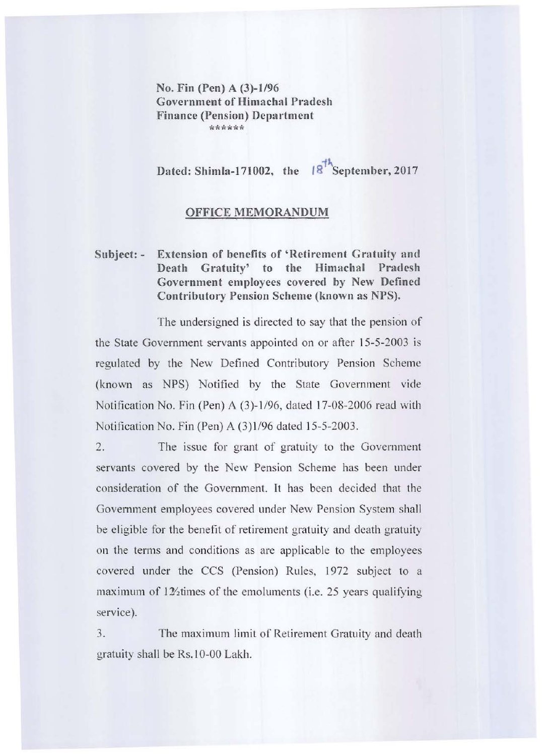No. Fin (Pen) A (3)-1/96 Government of Himachal Pradesh Finance (Pension) Department \*\*\*\*\*

Dated: Shimla-171002, the  $|8^{14}$ September, 2017

## OFFICE MEMORANDUM

## Subject: - Extension of benefits of 'Retirement Gratuity and Death Gratuity' to the Himachal Pradesh Government employees covered hy New Defined Contributory Pension Scheme (known as NPS).

The undersigned is directed to say that the pension of the State Government servants appointed on or after 15-5-2003 is regulated by the New Defined Contributory Pension Scheme (known as NPS) Notified by the State Government vide Notification No. Fin (Pen) A  $(3)$ -1/96, dated 17-08-2006 read with Notification No. Fin (Pen) A (3)1/96 dated 15-5-2003.

2. The issue for grant of gratuity to the Government servants covered by the New Pension Scheme has been under consideration of the Government. It has been decided that the Govemment employees covered under New Pension System shall be eligible for the benefit of retirement gratuity and death gratuity 011 the terms and conditions as are applicable to the employees covered under the CCS (Pension) Rules, 1972 subject to a maximum of  $12/2$ times of the emoluments (i.e. 25 years qualifying service).

3. The maximum limit of Retirement Gratuity and death gratuity shall be Rs. 10-00 Lakh.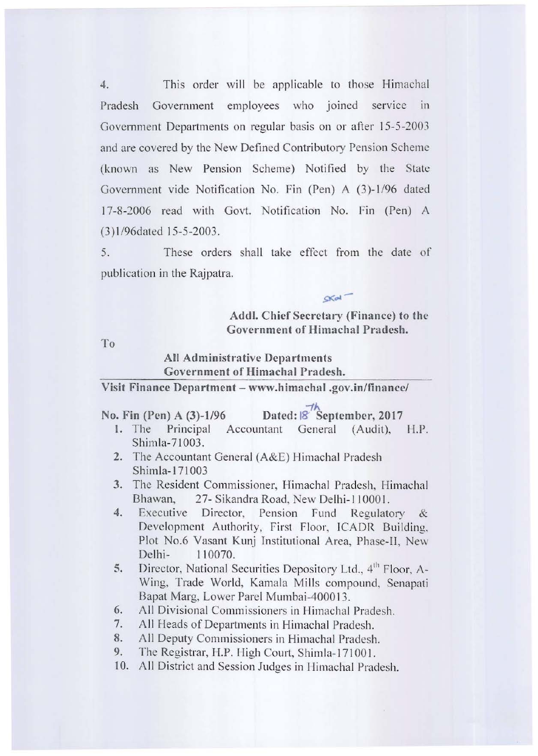4. This order will be applicable to those Himachal Pradesh Government employees who joined service in **Government Departments on regular basis on or after \5-5-2003 and arc covered by the New Defined Contributory Pension Scheme**  (known as New Pension Scheme) Notified by the State Government vide Notification No. Fin (Pen) A (3)-1/96 dated 17-8-2006 read with Govt. Notification No. Fin (Pen) A (3) 1/96dated 15-5-2003.

5. These orders shall take effect from the date of **publication in the Rajpatra.** 

> Addl. Chief Secretary (Finance) to the **Government of Himachal Pradesh.**

> > $-th$

 $CKal$ <sup>-</sup>

To

## **All Administrative Departments Covernment of Himachal Pradesh.**

**Visit Finance Department - www.himachal.gov.in/finance/** 

|  | No. Fin (Pen) A (3)-1/96 | Dated: 8 September, 2017 |
|--|--------------------------|--------------------------|
|  |                          |                          |

- 1. The Principal Accountant General (Audit), H.P. Shimla-71003.
- **2. The Accountant Genera l (A&E) Himachal Pradesh**  Shimla-1 71003
- **3.** The Resident Commissioner, Himachal Pradesh, Himachal Bhawan, 27- Sikandra Road, New Delhi-110001.
- 4. Executive Director, Pension Fund Regulatory & Development Authority, First Floor, ICADR Building, **Plot No.6 Vasant Kunj Institutional Area, Phase-II, New**  Delhi- I 10070.
- **5.** Director, National Securities Depository Ltd.,  $4^{\text{th}}$  Floor, A-Wing, Trade World, Kamala Mills compound, Senapati Bapat Marg, Lower Parel Mumbai-400013.
- **6. AI] Divisional Commissioners in lIimachal Pradesh.**
- 7. All Heads of Departments in Himachal Pradesh.
- 8. All Deputy Commissioners in Himachal Pradesh.
- 9. The Registrar, H.P. High Court, Shimla-171001.
- **10. All District and Session Judges in Ilimachal Pradesh.**